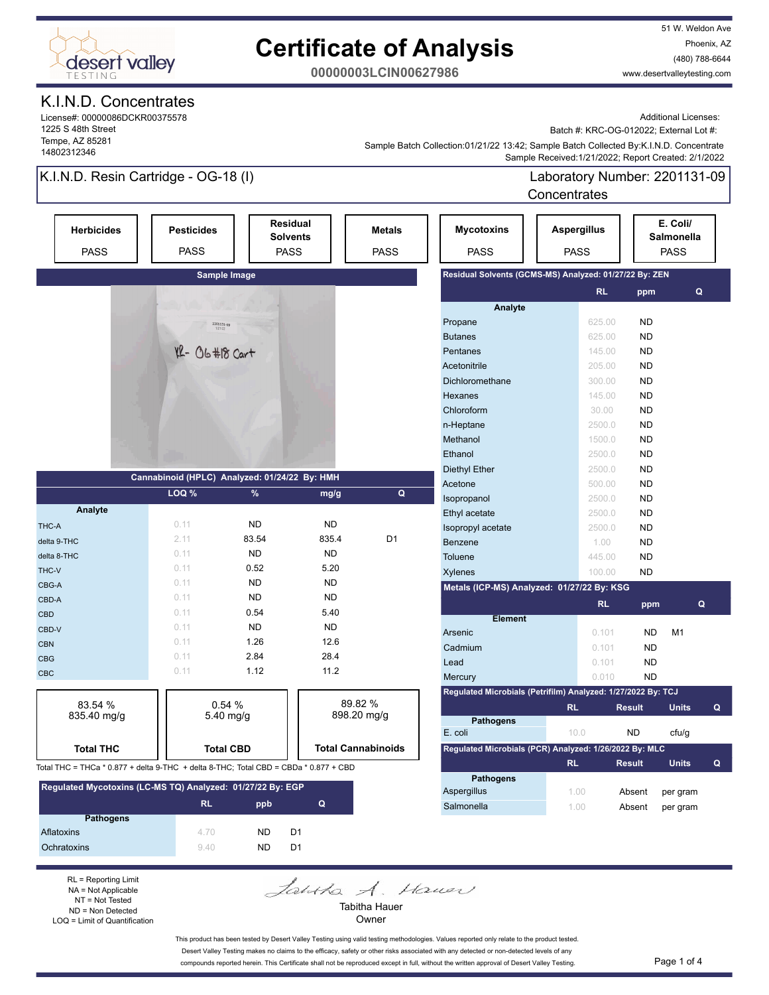

## **Certificate of Analysis**

51 W. Weldon Ave Phoenix, AZ (480) 788-6644 www.desertvalleytesting.com

**00000003LCIN00627986**

#### K.I.N.D. Concentrates

License#: 00000086DCKR00375578 1225 S 48th Street Tempe, AZ 85281 14802312346

Additional Licenses:

Batch #: KRC-OG-012022; External Lot #:

 Sample Received:1/21/2022; Report Created: 2/1/2022 Sample Batch Collection:01/21/22 13:42; Sample Batch Collected By:K.I.N.D. Concentrate

### K.I.N.D. Resin Cartridge - OG-18 (I)

Ochratoxins 9.40 ND D1

RL = Reporting Limit NA = Not Applicable NT = Not Tested ND = Non Detected LOQ = Limit of Quantification

Laboratory Number: 2201131-09 **Concentrates** 

| <b>Herbicides</b><br><b>PASS</b>                                                     | <b>Pesticides</b><br><b>PASS</b>              |                   | <b>Residual</b><br><b>Solvents</b><br><b>PASS</b>      | <b>Metals</b><br><b>PASS</b> | <b>Mycotoxins</b><br><b>PASS</b>                             | <b>Aspergillus</b><br><b>PASS</b> |           |               | E. Coli/<br>Salmonella<br><b>PASS</b> |   |
|--------------------------------------------------------------------------------------|-----------------------------------------------|-------------------|--------------------------------------------------------|------------------------------|--------------------------------------------------------------|-----------------------------------|-----------|---------------|---------------------------------------|---|
|                                                                                      |                                               | Sample Image      |                                                        |                              | Residual Solvents (GCMS-MS) Analyzed: 01/27/22 By: ZEN       |                                   |           |               |                                       |   |
|                                                                                      |                                               |                   |                                                        |                              |                                                              |                                   | RL.       | ppm           | $\mathbf Q$                           |   |
|                                                                                      |                                               |                   |                                                        |                              | Analyte                                                      |                                   |           |               |                                       |   |
|                                                                                      | 2201131-09                                    |                   |                                                        |                              | Propane                                                      |                                   | 625.00    | <b>ND</b>     |                                       |   |
|                                                                                      |                                               |                   |                                                        |                              | <b>Butanes</b>                                               |                                   | 625.00    | <b>ND</b>     |                                       |   |
|                                                                                      | $YL - 06 \# 18$ Cart                          |                   |                                                        |                              | Pentanes                                                     |                                   | 145.00    | <b>ND</b>     |                                       |   |
|                                                                                      |                                               |                   |                                                        |                              | Acetonitrile                                                 |                                   | 205.00    | <b>ND</b>     |                                       |   |
|                                                                                      |                                               |                   |                                                        |                              | Dichloromethane                                              |                                   | 300.00    | <b>ND</b>     |                                       |   |
|                                                                                      |                                               |                   |                                                        |                              | Hexanes                                                      |                                   | 145.00    | <b>ND</b>     |                                       |   |
|                                                                                      |                                               |                   |                                                        |                              | Chloroform                                                   |                                   | 30.00     | <b>ND</b>     |                                       |   |
|                                                                                      |                                               |                   |                                                        |                              | n-Heptane                                                    |                                   | 2500.0    | <b>ND</b>     |                                       |   |
|                                                                                      |                                               |                   |                                                        |                              | Methanol                                                     |                                   | 1500.0    | <b>ND</b>     |                                       |   |
|                                                                                      |                                               |                   |                                                        |                              | Ethanol                                                      |                                   | 2500.0    | <b>ND</b>     |                                       |   |
|                                                                                      | Cannabinoid (HPLC) Analyzed: 01/24/22 By: HMH |                   |                                                        |                              | <b>Diethyl Ether</b>                                         |                                   | 2500.0    | <b>ND</b>     |                                       |   |
|                                                                                      | LOQ %                                         | $\%$              | mg/g                                                   | Q                            | Acetone                                                      |                                   | 500.00    | <b>ND</b>     |                                       |   |
|                                                                                      |                                               |                   |                                                        |                              | Isopropanol                                                  |                                   | 2500.0    | <b>ND</b>     |                                       |   |
| Analyte                                                                              |                                               |                   |                                                        |                              | Ethyl acetate                                                |                                   | 2500.0    | <b>ND</b>     |                                       |   |
| THC-A                                                                                | 0.11                                          | <b>ND</b>         | <b>ND</b>                                              |                              | Isopropyl acetate                                            |                                   | 2500.0    | <b>ND</b>     |                                       |   |
| delta 9-THC                                                                          | 2.11                                          | 83.54             | 835.4                                                  | D <sub>1</sub>               | Benzene                                                      |                                   | 1.00      | <b>ND</b>     |                                       |   |
| delta 8-THC                                                                          | 0.11                                          | <b>ND</b>         | <b>ND</b>                                              |                              | Toluene                                                      |                                   | 445.00    | <b>ND</b>     |                                       |   |
| THC-V                                                                                | 0.11                                          | 0.52<br><b>ND</b> | 5.20<br><b>ND</b>                                      |                              | Xylenes                                                      |                                   | 100.00    | <b>ND</b>     |                                       |   |
| CBG-A                                                                                | 0.11                                          |                   |                                                        |                              | Metals (ICP-MS) Analyzed: 01/27/22 By: KSG                   |                                   |           |               |                                       |   |
| CBD-A                                                                                | 0.11                                          | <b>ND</b>         | <b>ND</b>                                              |                              |                                                              |                                   | <b>RL</b> | ppm           | Q                                     |   |
| <b>CBD</b>                                                                           | 0.11                                          | 0.54              | 5.40                                                   |                              | <b>Element</b>                                               |                                   |           |               |                                       |   |
| CBD-V                                                                                | 0.11<br>0.11                                  | ND<br>1.26        | <b>ND</b><br>12.6                                      |                              | Arsenic                                                      |                                   | 0.101     | <b>ND</b>     | M1                                    |   |
| <b>CBN</b>                                                                           |                                               |                   |                                                        |                              | Cadmium                                                      |                                   | 0.101     | <b>ND</b>     |                                       |   |
| <b>CBG</b>                                                                           | 0.11                                          | 2.84              | 28.4                                                   |                              | Lead                                                         |                                   | 0.101     | <b>ND</b>     |                                       |   |
| CBC                                                                                  | 0.11                                          | 1.12              | 11.2                                                   |                              | Mercury                                                      |                                   | 0.010     | <b>ND</b>     |                                       |   |
|                                                                                      |                                               |                   |                                                        |                              | Regulated Microbials (Petrifilm) Analyzed: 1/27/2022 By: TCJ |                                   |           |               |                                       |   |
| 83.54 %                                                                              | 0.54%                                         |                   |                                                        | 89.82 %                      |                                                              | <b>RL</b>                         |           | <b>Result</b> | <b>Units</b>                          | Q |
| 835.40 mg/g                                                                          |                                               | $5.40$ mg/g       |                                                        | 898.20 mg/g                  | <b>Pathogens</b>                                             |                                   |           |               |                                       |   |
|                                                                                      |                                               |                   |                                                        |                              | E. coli                                                      | 10.0                              |           | <b>ND</b>     | cfu/q                                 |   |
| <b>Total THC</b>                                                                     | <b>Total Cannabinoids</b><br><b>Total CBD</b> |                   | Regulated Microbials (PCR) Analyzed: 1/26/2022 By: MLC |                              |                                                              |                                   |           |               |                                       |   |
| Total THC = THCa * 0.877 + delta 9-THC + delta 8-THC; Total CBD = CBDa * 0.877 + CBD |                                               |                   |                                                        |                              |                                                              | <b>RL</b>                         |           | <b>Result</b> | <b>Units</b>                          | Q |
| Regulated Mycotoxins (LC-MS TQ) Analyzed: 01/27/22 By: EGP                           |                                               |                   |                                                        |                              | <b>Pathogens</b>                                             |                                   |           |               |                                       |   |
|                                                                                      |                                               |                   |                                                        |                              | Aspergillus                                                  | 1.00                              |           | Absent        | per gram                              |   |
|                                                                                      | <b>RL</b>                                     | ppb               | Q                                                      |                              | Salmonella                                                   | 1.00                              |           | Absent        | per gram                              |   |
| <b>Pathogens</b><br>Aflatoxins                                                       | 4.70                                          | <b>ND</b>         | D <sub>1</sub>                                         |                              |                                                              |                                   |           |               |                                       |   |

Joshka A. House Tabitha Hauer

Owner

This product has been tested by Desert Valley Testing using valid testing methodologies. Values reported only relate to the product tested. Desert Valley Testing makes no claims to the efficacy, safety or other risks associated with any detected or non-detected levels of any compounds reported herein. This Certificate shall not be reproduced except in full, without the written approval of Desert Valley Testing. Page 1 of 4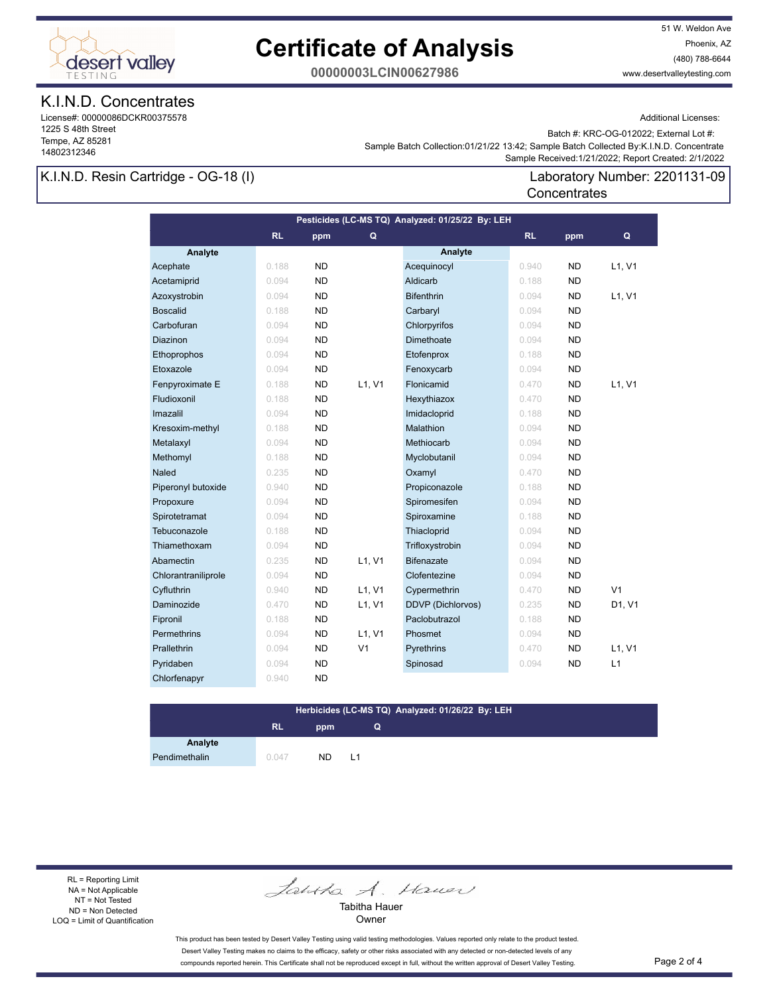

## **Certificate of Analysis**

51 W. Weldon Ave Phoenix, AZ (480) 788-6644 www.desertvalleytesting.com

**00000003LCIN00627986**

#### K.I.N.D. Concentrates

License#: 00000086DCKR00375578 1225 S 48th Street Tempe, AZ 85281 14802312346

Additional Licenses:

Batch #: KRC-OG-012022; External Lot #:

Laboratory Number: 2201131-09

 Sample Received:1/21/2022; Report Created: 2/1/2022 Sample Batch Collection:01/21/22 13:42; Sample Batch Collected By:K.I.N.D. Concentrate

**Concentrates** 

#### K.I.N.D. Resin Cartridge - OG-18 (I)

**Analyte Analyte RL ppm RL ppm Pesticides (LC-MS TQ) Analyzed: 01/25/22 By: LEH Q Q** Acephate 0.188 ND Acequinocyl 0.940 ND L1, V1 Acetamiprid 0.094 ND Aldicarb 0.188 ND Azoxystrobin 0.094 ND Bifenthrin 0.094 ND L1, V1 Boscalid 0.188 ND Carbaryl 0.094 ND Carbofuran 0.094 ND Chlorpyrifos 0.094 ND **Diazinon 0.094 ND Dimethoate 0.094 ND**  Ethoprophos 0.094 ND Etofenprox 0.188 ND Etoxazole 0.094 ND Fenoxycarb 0.094 ND Fenpyroximate E 0.188 ND L1, V1 Flonicamid 0.470 ND L1, V1 Fludioxonil 0.188 ND Hexythiazox 0.470 ND Imazalil 0.094 ND Imidacloprid 0.188 ND Kresoxim-methyl 0.188 ND Malathion 0.094 ND Metalaxyl 0.094 ND Methiocarb 0.094 ND Methomyl 0.188 ND Myclobutanil 0.094 ND **Naled 0.235 ND Oxamyl 0.470 ND**  Piperonyl butoxide 0.940 ND Propiconazole 0.188 ND Propoxure 0.094 ND Spiromesifen 0.094 ND Spirotetramat 0.094 ND Spiroxamine 0.188 ND Tebuconazole 0.188 ND Thiacloprid 0.094 ND Thiamethoxam 0.094 ND Trifloxystrobin 0.094 ND Abamectin **0.235 ND L1, V1 Bifenazate 10.094 ND** Chlorantraniliprole 0.094 ND Clofentezine 0.094 ND Cyfluthrin 1980 0.940 ND L1, V1 Cypermethrin 1980 0.470 ND V1 Daminozide 0.470 ND L1, V1 DDVP (Dichlorvos) 0.235 ND D1, V1 Fipronil 0.188 ND Paclobutrazol 0.188 ND Permethrins 0.094 ND L1, V1 Phosmet 0.094 ND Prallethrin 0.094 ND V1 Pyrethrins 0.470 ND L1, V1 Pyridaben 1980 0.094 ND Spinosad 1980 0.094 ND L1 Chlorfenapyr 0.940 ND

#### **Herbicides (LC-MS TQ) Analyzed: 01/26/22 By: LEH**

**Q**

### **RL ppm**

**Analyte**

Pendimethalin 0.047 ND L1

RL = Reporting Limit NA = Not Applicable NT = Not Tested ND = Non Detected LOQ = Limit of Quantification

Jantha A. Hauer

Tabitha Hauer **Owner** 

This product has been tested by Desert Valley Testing using valid testing methodologies. Values reported only relate to the product tested. Desert Valley Testing makes no claims to the efficacy, safety or other risks associated with any detected or non-detected levels of any compounds reported herein. This Certificate shall not be reproduced except in full, without the written approval of Desert Valley Testing. Page 2 of 4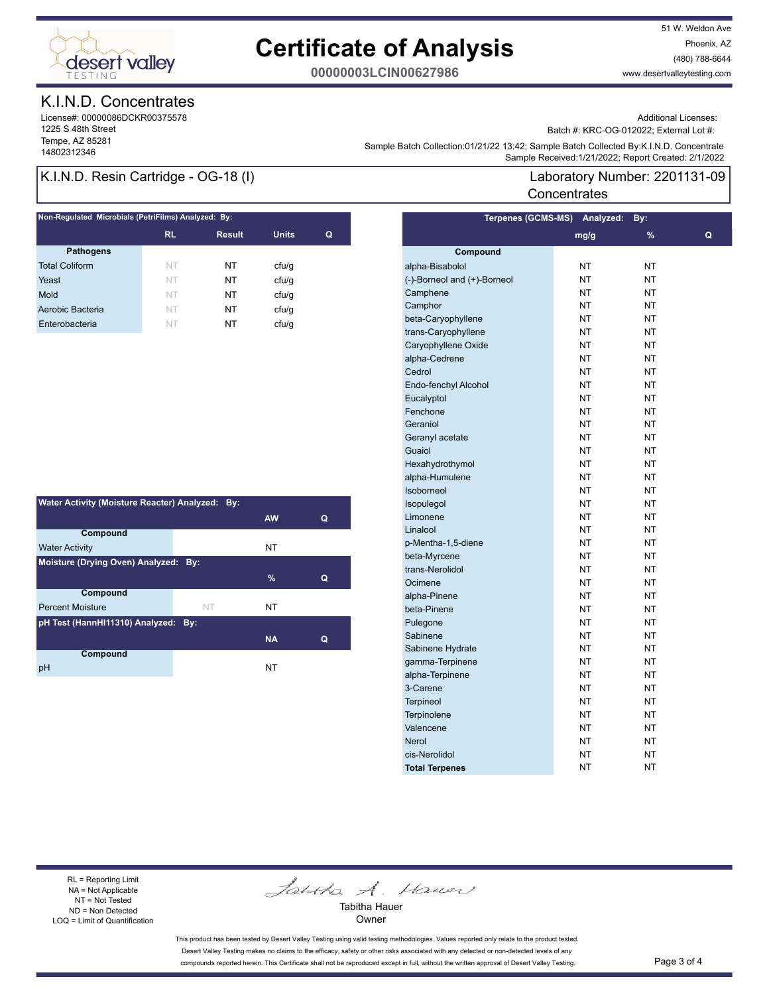

## **Certificate of Analysis**

51 W. Weldon Ave Phoenix, AZ (480) 788-6644 www.desertvalleytesting.com

**00000003LCIN00627986**

#### K.I.N.D. Concentrates

License#: 00000086DCKR00375578 1225 S 48th Street Tempe, AZ 85281

Additional Licenses:

Batch #: KRC-OG-012022; External Lot #:

Laboratory Number: 2201131-09

Sample Battri Collection.orizinzzi istaz, Sample Battri Collection (State Collection 2012)<br>Sample Received:1/21/2022; Report Created: 2/1/2022 Sample Batch Collection:01/21/22 13:42; Sample Batch Collected By:K.I.N.D. Concentrate

**Concentrates** 

#### K.I.N.D. Resin Cartridge - OG-18 (I)

| Non-Regulated Microbials (PetriFilms) Analyzed: By: |           |               |              |   |  |  |
|-----------------------------------------------------|-----------|---------------|--------------|---|--|--|
|                                                     | <b>RL</b> | <b>Result</b> | <b>Units</b> | Q |  |  |
| <b>Pathogens</b>                                    |           |               |              |   |  |  |
| <b>Total Coliform</b>                               | NT        | NT            | cfu/g        |   |  |  |
| Yeast                                               | NT        | NT            | cfu/q        |   |  |  |
| Mold                                                | NT        | NT            | cfu/q        |   |  |  |
| Aerobic Bacteria                                    | NT        | NT            | cfu/q        |   |  |  |
| Enterobacteria                                      | NT        | NT            | cfu/q        |   |  |  |

| Water Activity (Moisture Reacter) Analyzed: By: |           |           |   |  |  |  |
|-------------------------------------------------|-----------|-----------|---|--|--|--|
|                                                 |           | <b>AW</b> | Q |  |  |  |
| Compound                                        |           |           |   |  |  |  |
| <b>Water Activity</b>                           |           | NΤ        |   |  |  |  |
| Moisture (Drying Oven) Analyzed: By:            |           |           |   |  |  |  |
|                                                 |           | $\%$      | Q |  |  |  |
| <b>Compound</b>                                 |           |           |   |  |  |  |
| <b>Percent Moisture</b>                         | <b>NT</b> | NT        |   |  |  |  |
| pH Test (HannHI11310) Analyzed: By:             |           |           |   |  |  |  |
|                                                 |           | <b>NA</b> | Q |  |  |  |
| Compound                                        |           |           |   |  |  |  |
| рH                                              |           | NT        |   |  |  |  |

|                             | Terpenes (GCMS-MS) Analyzed: | By:           |   |
|-----------------------------|------------------------------|---------------|---|
|                             | mg/g                         | $\frac{9}{6}$ | Q |
| Compound                    |                              |               |   |
| alpha-Bisabolol             | NT                           | NΤ            |   |
| (-)-Borneol and (+)-Borneol | NT                           | NT            |   |
| Camphene                    | <b>NT</b>                    | <b>NT</b>     |   |
| Camphor                     | <b>NT</b>                    | <b>NT</b>     |   |
| beta-Caryophyllene          | NT                           | NT            |   |
| trans-Caryophyllene         | NT                           | NT            |   |
| Caryophyllene Oxide         | <b>NT</b>                    | <b>NT</b>     |   |
| alpha-Cedrene               | <b>NT</b>                    | NT            |   |
| Cedrol                      | <b>NT</b>                    | NΤ            |   |
| Endo-fenchyl Alcohol        | NT                           | NT            |   |
| Eucalyptol                  | NT                           | NT            |   |
| Fenchone                    | <b>NT</b>                    | <b>NT</b>     |   |
| Geraniol                    | <b>NT</b>                    | NT            |   |
| Geranyl acetate             | NT                           | NΤ            |   |
| Guaiol                      | ΝT                           | ΝT            |   |
| Hexahydrothymol             | NT                           | NT            |   |
| alpha-Humulene              | <b>NT</b>                    | <b>NT</b>     |   |
| Isoborneol                  | <b>NT</b>                    | NT            |   |
| Isopulegol                  | NT                           | NT            |   |
| Limonene                    | NT                           | NT            |   |
| Linalool                    | <b>NT</b>                    | <b>NT</b>     |   |
| p-Mentha-1,5-diene          | <b>NT</b>                    | NT            |   |
| beta-Myrcene                | <b>NT</b>                    | <b>NT</b>     |   |
| trans-Nerolidol             | NT                           | NT            |   |
| Ocimene                     | NT                           | NT            |   |
| alpha-Pinene                | <b>NT</b>                    | NT            |   |
| beta-Pinene                 | <b>NT</b>                    | <b>NT</b>     |   |
| Pulegone                    | <b>NT</b>                    | <b>NT</b>     |   |
| Sabinene                    | NT                           | NT            |   |
| Sabinene Hydrate            | NT                           | NT            |   |
| gamma-Terpinene             | <b>NT</b>                    | NT            |   |
| alpha-Terpinene             | <b>NT</b>                    | <b>NT</b>     |   |
| 3-Carene                    | ΝT                           | ΝT            |   |
| <b>Terpineol</b>            | ΝT                           | ΝT            |   |
| Terpinolene                 | NT                           | NT            |   |
| Valencene                   | <b>NT</b>                    | <b>NT</b>     |   |
| <b>Nerol</b>                | <b>NT</b>                    | <b>NT</b>     |   |
| cis-Nerolidol               | NT                           | NΤ            |   |
| <b>Total Terpenes</b>       | NT                           | NΤ            |   |
|                             |                              |               |   |

#### RL = Reporting Limit NA = Not Applicable NT = Not Tested ND = Non Detected LOQ = Limit of Quantification

Jantha A. Hauer

Tabitha Hauer Owner

This product has been tested by Desert Valley Testing using valid testing methodologies. Values reported only relate to the product tested. Desert Valley Testing makes no claims to the efficacy, safety or other risks associated with any detected or non-detected levels of any compounds reported herein. This Certificate shall not be reproduced except in full, without the written approval of Desert Valley Testing. Page 3 of 4